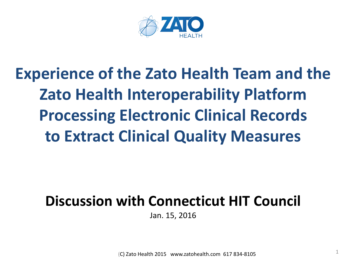

# **Experience of the Zato Health Team and the Zato Health Interoperability Platform Processing Electronic Clinical Records to Extract Clinical Quality Measures**

# **Discussion with Connecticut HIT Council**

Jan. 15, 2016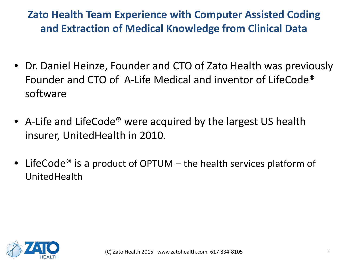# **Zato Health Team Experience with Computer Assisted Coding and Extraction of Medical Knowledge from Clinical Data**

- Dr. Daniel Heinze, Founder and CTO of Zato Health was previously Founder and CTO of A-Life Medical and inventor of LifeCode® software
- A-Life and LifeCode<sup>®</sup> were acquired by the largest US health insurer, UnitedHealth in 2010.
- LifeCode<sup>®</sup> is a product of OPTUM the health services platform of UnitedHealth

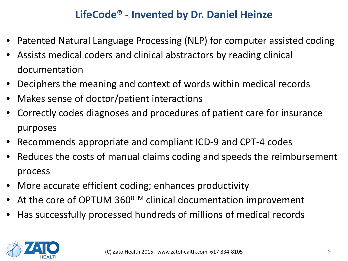#### **LifeCode® - Invented by Dr. Daniel Heinze**

- Patented Natural Language Processing (NLP) for computer assisted coding
- Assists medical coders and clinical abstractors by reading clinical documentation
- Deciphers the meaning and context of words within medical records
- Makes sense of doctor/patient interactions
- Correctly codes diagnoses and procedures of patient care for insurance purposes
- Recommends appropriate and compliant ICD-9 and CPT-4 codes
- Reduces the costs of manual claims coding and speeds the reimbursement process
- More accurate efficient coding; enhances productivity
- At the core of OPTUM  $360^{\circ}$ <sup>M</sup> clinical documentation improvement
- Has successfully processed hundreds of millions of medical records

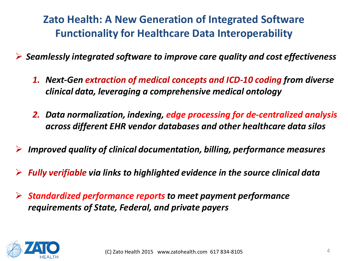**Zato Health: A New Generation of Integrated Software Functionality for Healthcare Data Interoperability** 

*Seamlessly integrated software to improve care quality and cost effectiveness*

- *1. Next-Gen extraction of medical concepts and ICD-10 coding from diverse clinical data, leveraging a comprehensive medical ontology*
- *2. Data normalization, indexing, edge processing for de-centralized analysis across different EHR vendor databases and other healthcare data silos*
- *Improved quality of clinical documentation, billing, performance measures*
- *Fully verifiable via links to highlighted evidence in the source clinical data*
- *Standardized performance reports to meet payment performance requirements of State, Federal, and private payers*

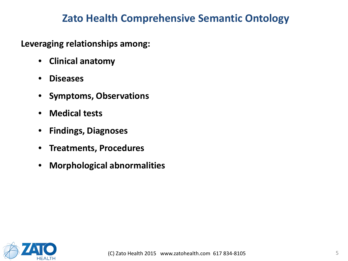#### **Zato Health Comprehensive Semantic Ontology**

**Leveraging relationships among:**

- **Clinical anatomy**
- **Diseases**
- **Symptoms, Observations**
- **Medical tests**
- **Findings, Diagnoses**
- **Treatments, Procedures**
- **Morphological abnormalities**

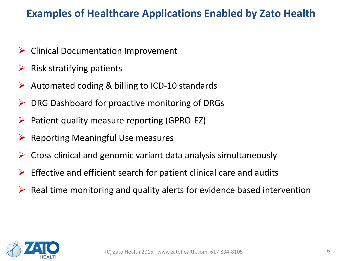#### **Examples of Healthcare Applications Enabled by Zato Health**

- $\triangleright$  Clinical Documentation Improvement
- $\triangleright$  Risk stratifying patients
- $\triangleright$  Automated coding & billing to ICD-10 standards
- $\triangleright$  DRG Dashboard for proactive monitoring of DRGs
- $\triangleright$  Patient quality measure reporting (GPRO-EZ)
- $\triangleright$  Reporting Meaningful Use measures
- $\triangleright$  Cross clinical and genomic variant data analysis simultaneously
- $\triangleright$  Effective and efficient search for patient clinical care and audits
- $\triangleright$  Real time monitoring and quality alerts for evidence based intervention

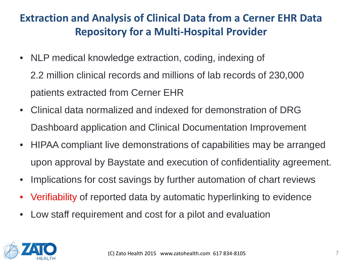# **Extraction and Analysis of Clinical Data from a Cerner EHR Data Repository for a Multi-Hospital Provider**

- NLP medical knowledge extraction, coding, indexing of 2.2 million clinical records and millions of lab records of 230,000 patients extracted from Cerner EHR
- Clinical data normalized and indexed for demonstration of DRG Dashboard application and Clinical Documentation Improvement
- HIPAA compliant live demonstrations of capabilities may be arranged upon approval by Baystate and execution of confidentiality agreement.
- Implications for cost savings by further automation of chart reviews
- Verifiability of reported data by automatic hyperlinking to evidence
- Low staff requirement and cost for a pilot and evaluation

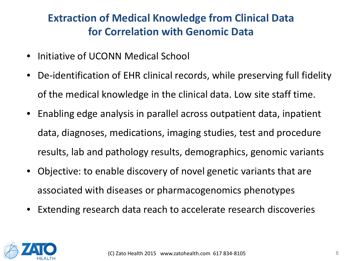# **Extraction of Medical Knowledge from Clinical Data for Correlation with Genomic Data**

- Initiative of UCONN Medical School
- De-identification of EHR clinical records, while preserving full fidelity of the medical knowledge in the clinical data. Low site staff time.
- Enabling edge analysis in parallel across outpatient data, inpatient data, diagnoses, medications, imaging studies, test and procedure results, lab and pathology results, demographics, genomic variants
- Objective: to enable discovery of novel genetic variants that are associated with diseases or pharmacogenomics phenotypes
- Extending research data reach to accelerate research discoveries

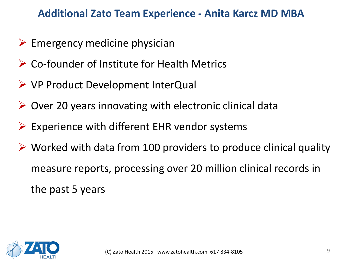#### **Additional Zato Team Experience - Anita Karcz MD MBA**

- $\triangleright$  Emergency medicine physician
- Co-founder of Institute for Health Metrics
- VP Product Development InterQual
- $\triangleright$  Over 20 years innovating with electronic clinical data
- $\triangleright$  Experience with different EHR vendor systems
- $\triangleright$  Worked with data from 100 providers to produce clinical quality measure reports, processing over 20 million clinical records in the past 5 years

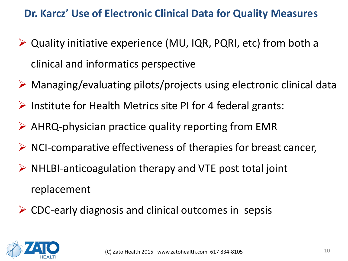#### **Dr. Karcz' Use of Electronic Clinical Data for Quality Measures**

- Quality initiative experience (MU, IQR, PQRI, etc) from both a clinical and informatics perspective
- $\triangleright$  Managing/evaluating pilots/projects using electronic clinical data
- $\triangleright$  Institute for Health Metrics site PI for 4 federal grants:
- $\triangleright$  AHRQ-physician practice quality reporting from EMR
- $\triangleright$  NCI-comparative effectiveness of therapies for breast cancer,
- $\triangleright$  NHLBI-anticoagulation therapy and VTE post total joint replacement
- **► CDC-early diagnosis and clinical outcomes in sepsis**

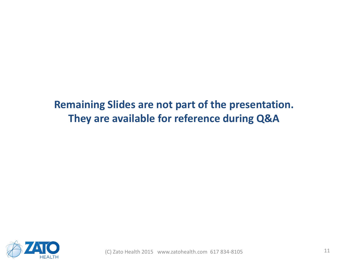# **Remaining Slides are not part of the presentation. They are available for reference during Q&A**

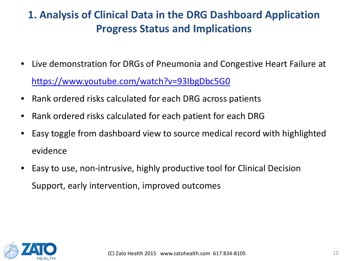# **1. Analysis of Clinical Data in the DRG Dashboard Application Progress Status and Implications**

- Live demonstration for DRGs of Pneumonia and Congestive Heart Failure at <https://www.youtube.com/watch?v=93IbgDbc5G0>
- Rank ordered risks calculated for each DRG across patients
- Rank ordered risks calculated for each patient for each DRG
- Easy toggle from dashboard view to source medical record with highlighted evidence
- Easy to use, non-intrusive, highly productive tool for Clinical Decision Support, early intervention, improved outcomes

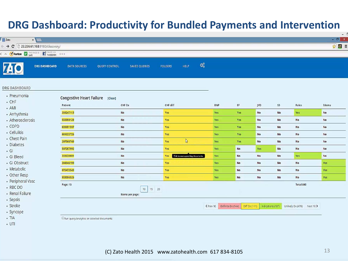#### **DRG Dashboard: Productivity for Bundled Payments and Intervention**

| Zato                          | x                                                                           |                                           |                      |                      |                |                                    |                  |                                                                                                                                                                     |                   |                |                   |                               | $-1$<br>$- 0$ $\times$ |
|-------------------------------|-----------------------------------------------------------------------------|-------------------------------------------|----------------------|----------------------|----------------|------------------------------------|------------------|---------------------------------------------------------------------------------------------------------------------------------------------------------------------|-------------------|----------------|-------------------|-------------------------------|------------------------|
| $\leftrightarrow$ e           | □ 23.236.61.168:9180/discovery/<br>A Morton BERT ENGELS <b>THE PACEBOOK</b> | 400                                       |                      |                      |                |                                    |                  |                                                                                                                                                                     |                   |                |                   |                               | ☆ ◎ 三                  |
| 740                           | <b>DRG DASHBOARD</b>                                                        | <b>DATA SOURCES</b>                       | <b>QUERY CONTROL</b> | <b>SAVED QUERIES</b> | <b>FOLDERS</b> | HELP                               | $\mathbb{Q}_2^6$ |                                                                                                                                                                     |                   |                |                   |                               |                        |
| <b>DRG DASHBOARD</b>          |                                                                             |                                           |                      |                      |                |                                    |                  |                                                                                                                                                                     |                   |                |                   |                               |                        |
| · Pneumonia                   |                                                                             | Congestive Heart Failure [Clear]          |                      |                      |                |                                    |                  |                                                                                                                                                                     |                   |                |                   |                               |                        |
| $\cdot$ CHF<br>. AMI          |                                                                             | Patient                                   |                      | CHF Dx               | CHF diff       |                                    |                  | BNP                                                                                                                                                                 | $\sf EF$          | <b>JVD</b>     | S <sub>3</sub>    | Rales                         | Edema                  |
| · Arrhythmia                  |                                                                             | 358247113                                 |                      | No.                  | Yes            |                                    |                  | Yes                                                                                                                                                                 | Yes               | No             | No                | Yes                           | No                     |
| • Atherosclerosis             |                                                                             | 550098128                                 |                      | No                   | Yes            |                                    |                  | Yes                                                                                                                                                                 | Yes               | <b>No</b>      | <b>No</b>         | No                            | No                     |
| $\cdot$ COPD                  |                                                                             | 039691597                                 |                      | No                   | Yes            |                                    |                  | Yes                                                                                                                                                                 | Yes               | <b>No</b>      | No                | No                            | <b>No</b>              |
| • Cellulitis                  |                                                                             | 081033726                                 |                      | No                   | Yes            |                                    |                  | Yes                                                                                                                                                                 | Yes               | <b>No</b>      | No                | No                            | No                     |
| • Chest Pain<br>· Diabetes    |                                                                             | 207560749                                 |                      | No                   | Yes            | $\mathbb{Q}$                       |                  | Yes                                                                                                                                                                 | Yes               | <b>No</b>      | No                | No                            | No                     |
| $\cdot$ GI                    |                                                                             | 507207992                                 |                      | No                   | Yes            |                                    |                  | Yes                                                                                                                                                                 | <b>No</b>         | Yes            | <b>No</b>         | No                            | No                     |
| · GI Bleed                    |                                                                             | 333638801                                 |                      | No                   | Yes            | Click to see supporting documents. |                  | Yes                                                                                                                                                                 | <b>No</b>         | No             | No                | Yes                           | No                     |
| · GI Obstruct                 |                                                                             | 304946199                                 |                      | No                   | Yes            |                                    |                  | Yes                                                                                                                                                                 | <b>No</b>         | <b>No</b>      | <b>No</b>         | <b>No</b>                     | Yes                    |
| • Metabolic                   |                                                                             | 070473543                                 |                      | No                   | Yes            |                                    |                  | Yes                                                                                                                                                                 | <b>No</b>         | No             | No                | No                            | Yes                    |
| • Other Resp                  |                                                                             | 933096526                                 |                      | No                   | Yes            |                                    |                  | Yes                                                                                                                                                                 | <b>No</b>         | No             | <b>No</b>         | No                            | Yes                    |
| • Peripheral Vasc<br>· RBC DO |                                                                             | Page: 15                                  |                      |                      |                |                                    |                  |                                                                                                                                                                     |                   |                |                   | Total:840                     |                        |
| • Renal Failure               |                                                                             |                                           |                      | 10 <sub>2</sub>      | 15 20          |                                    |                  |                                                                                                                                                                     |                   |                |                   |                               |                        |
| · Sepsis                      |                                                                             |                                           |                      | Items per page:      |                |                                    |                  |                                                                                                                                                                     |                   |                |                   |                               |                        |
| · Stroke                      |                                                                             |                                           |                      |                      |                |                                    |                  | <prev 10<="" td=""><td>Definite Dx (144)</td><td>Diff <math>Dx(111)</math></td><td>Indications (107)</td><td>Unlikely Dx (478)<br/>Next 10&gt;</td><td></td></prev> | Definite Dx (144) | Diff $Dx(111)$ | Indications (107) | Unlikely Dx (478)<br>Next 10> |                        |
| • Syncope                     |                                                                             |                                           |                      |                      |                |                                    |                  |                                                                                                                                                                     |                   |                |                   |                               |                        |
| $\cdot$ TIA                   |                                                                             | Run query/analytics on selected documents |                      |                      |                |                                    |                  |                                                                                                                                                                     |                   |                |                   |                               |                        |

 $\cdot$  UTI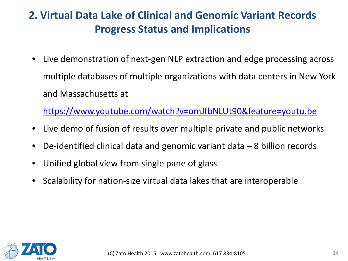# **2. Virtual Data Lake of Clinical and Genomic Variant Records Progress Status and Implications**

• Live demonstration of next-gen NLP extraction and edge processing across multiple databases of multiple organizations with data centers in New York and Massachusetts at

<https://www.youtube.com/watch?v=omJfbNLUt90&feature=youtu.be>

- Live demo of fusion of results over multiple private and public networks
- De-identified clinical data and genomic variant data 8 billion records
- Unified global view from single pane of glass
- Scalability for nation-size virtual data lakes that are interoperable

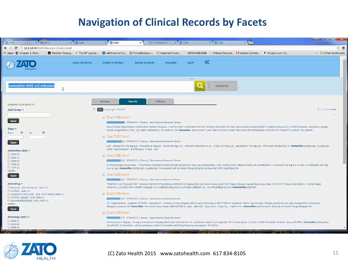#### **Navigation of Clinical Records by Facets**

| Zato                                                                       | x Zato                                                                                                         | $x$ Zato            | $\times$ Zato                   | x DRG Dashboard x Zato                                                                                                                                                        |                                         | $\times$ $\overline{Z}$ Zato | x | $F^{(2)} = \Box$                                                                                                                                                                                                                                                                                                                                                                    |
|----------------------------------------------------------------------------|----------------------------------------------------------------------------------------------------------------|---------------------|---------------------------------|-------------------------------------------------------------------------------------------------------------------------------------------------------------------------------|-----------------------------------------|------------------------------|---|-------------------------------------------------------------------------------------------------------------------------------------------------------------------------------------------------------------------------------------------------------------------------------------------------------------------------------------------------------------------------------------|
|                                                                            | $\leftarrow$ $\rightarrow$ $\mathbf{C}$ [ 10.1.10.10:9180/discovery/index.html                                 |                     |                                 |                                                                                                                                                                               |                                         |                              |   | ಬೇ ≣                                                                                                                                                                                                                                                                                                                                                                                |
|                                                                            | Apps E Chapter 2. Setti                                                                                        |                     |                                 | Weather Foreca * The HP Laptop  Wwildblue.net Cu @ PortableApps.c @ Imported From  [ SENDtoREADER   Chilead Discove 7 Adobe Commu 3 Amazon.com: A                             |                                         |                              |   | > Other bookmarks                                                                                                                                                                                                                                                                                                                                                                   |
|                                                                            |                                                                                                                | <b>DATA SOURCES</b> | <b>OUERY CONTROL</b>            | <b>SAVED OUERIES</b>                                                                                                                                                          | <b>FOLDERS</b><br><b>HELP</b><br>(Gord) | œ                            |   |                                                                                                                                                                                                                                                                                                                                                                                     |
|                                                                            | tamoxifen AND vcf:vcfexists                                                                                    |                     |                                 |                                                                                                                                                                               |                                         | ADVANCED                     |   |                                                                                                                                                                                                                                                                                                                                                                                     |
| NARROW YOUR RESULTS<br>Add Terms                                           |                                                                                                                |                     | Analyze<br>Showing 1 - 10 of 37 | Tabular<br><b>Results</b>                                                                                                                                                     |                                         |                              |   | $1   2   3   4$ next                                                                                                                                                                                                                                                                                                                                                                |
| Apply<br>$Time =$<br>From:                                                 | 田<br>⊟<br>To                                                                                                   |                     | Doc1198.html                    | 1 07/06/2015   Obesity - Zato Advance Research Center                                                                                                                         |                                         |                              |   | ADDITIONAL DIAGNOSES; CORONARY ARTERY DISEASE , STATUS POST CORONARY ARTERY BYPASS SURGERY IN 1989. NON-INSULIN-DEPENDENT DIABETES MELLITUS. HYPERTENSION. PSORIASIS. Breast<br>cancer diagnosed in 1992. S/p right mastectomy. HR positive. On Tamoxifen. Recurrence 1 year later to other breast. Then had left mastectomy. HISTORY OF PRESENT ILLNESS: The patient               |
| Apply<br>admission date<br>2005 (7)                                        |                                                                                                                |                     | @ Doc1187.html<br>Dec1188.html  | 07/06/2015   Obesity - Zato Advance Research Center<br>Sulfa, erythromycin, levofloxacin, IV dye, iron                                                                        |                                         |                              |   | q.d. allopurinol 100 mg q.d., Prevacid 20 mg q.d., Isordii 40 mg t.i.d., Atrovent nebulizers q.i.d., K-Dur 20 mEq q.d., eprosartan 150 mg q.d., Afrin and Imodium p.r.n. Tamoxifen 20mg daily. ALLERGIES:                                                                                                                                                                           |
| 2006 (7)<br>12004(6)<br>1995 (3)<br>1997(2)<br>MORE                        |                                                                                                                |                     |                                 | 07/05/2015   Obesity - Zato Advance Research Center<br>p.o. q. day. Tamoxifen 20mg daily. ALLERGIES: The patient had no known drug allergies. SOCIAL HISTORY: Significant for |                                         |                              |   | 6) Polymyaigia rheumatica . 7) Hormone receptor positive breast carcinoma 1992. S/p lumpectomy 1992. Stable since. MEDICATIONS ON ADMISSION: 1 ) Lisinopril 20 mg p.o. q. day. 2 ) Diltiazem 240 mg                                                                                                                                                                                 |
| Apply<br>attending =                                                       | BALCOS, ASA NICKOLAS, M.D. (1)                                                                                 |                     | <b>E</b> Doc1230.html           | 07/06/2015   Obesity - Zato Advance Research Center<br>ANGINA (2) CORONARY ARTERY DISEASE (3) DIABETES MELLITUS (4) STAGE 4 BREAST CA - NO PROGRESSION ON TAMOXIFEN HISTORY   |                                         |                              |   | 79907810 124748 2/29/1997 12:00:00 AM R/O MYOCARDIAL INFARCTION Signed DIS Admission Date: 2/29/1997 Report Status: Signed Discharge Date: 4/14/1997 FINAL DIAGNOSIS: (1) UNSTABLE                                                                                                                                                                                                  |
| CHIRCO, ALEX (1)<br>$MORE$ ><br>Apply                                      | COLEMAN HOYLAND, M.D. RA70 XR421/0040 (1)<br>CURTIS J. BUKER, M.D. RN8 (1)<br>UI DANNIE EDGCOMB, M.D. YN47 (1) |                     | Doc1190.html<br>B Doc1206.html  | 07/06/2015   Obesity - Zato Advance Research Center                                                                                                                           |                                         |                              |   | 15, hypertension, question of COPD, depression, coronary artery disease with an echo showing an EF of 45% on baseline inferior hypokinesis. Breast carcinoma. Hx right mastectomy, Hormone<br>Receptor positive. On Tamoxifen, No known recurrence, MEDICATIONS: Lasix , atenolo) , buoropion , Fosamax , metformin , Tamoxifen and Iisinopril. She has no known drug allergies. On |
| discharge date w<br>2006 (7)<br>1/2004(6)<br>2005 (6)<br><b>STATISTICS</b> |                                                                                                                |                     |                                 | 07/06/2015   Obesity - Zato Advance Research Center<br>ALLERGIES: To Penicillin , which produces a rash: Corticosteroids Phenothiazine and aspirin. PHYSICAL                  |                                         |                              |   | 4-6 hours prn; Reglan , 10 mg q 6 hours prn nausea; Bactroban ointment b.i.d.: Lotrisone cream b.i.d, topically: Afrin nasal spray q 12 hours PRN: Proventil inhalers , two puffs PRN. Tamoxifen 20mg daily.                                                                                                                                                                        |

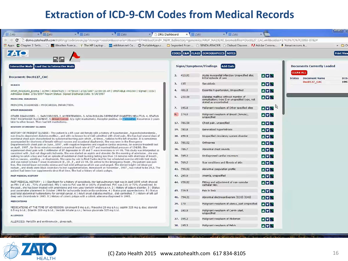#### **Extraction of ICD-9-CM Codes from Medical Records**

| Weather Foreca * The HP Laptop  W wildblue.net Cu @ PortableApps.c @ Imported From  [ SENDtoREADER   Chilead Discove 7. Adobe Commu 8 Amazon.com: A<br>Apps E Chapter 2. Setti<br><b>ZA O</b>                                                                                                                                                                              |    |            | CODES E&M FLAGS DEMOGRAPHICS NOTES                                                                               |            |                                                 | $\blacksquare$<br><b>Print View</b> |
|----------------------------------------------------------------------------------------------------------------------------------------------------------------------------------------------------------------------------------------------------------------------------------------------------------------------------------------------------------------------------|----|------------|------------------------------------------------------------------------------------------------------------------|------------|-------------------------------------------------|-------------------------------------|
| <b>Interactive Mode</b><br><b>Load Doc to Interactive Mode</b>                                                                                                                                                                                                                                                                                                             |    |            | Signs/Symptoms/Findings<br><b>Add Code</b>                                                                       |            | <b>Documents Currently Loaded</b>               |                                     |
| Document: Doc0127_CAC                                                                                                                                                                                                                                                                                                                                                      |    | 2. 410.91  | Acute myocardial infarction Unspecified site;<br>initial episode of care                                         | <b>AVN</b> | <b>CLEAR ALL</b><br><b>Status</b> Document Name |                                     |
| HEADER                                                                                                                                                                                                                                                                                                                                                                     |    | 3. 135     | <b>Sarcoidosis</b>                                                                                               | <b>AVN</b> | Doc0127_CAC                                     |                                     |
| ARUP_NA19240_Exome   ACMH   46947625     075014   2/16/1997 12:00:00 AM   UNSTABLE ANGINA   Signed   DIS                                                                                                                                                                                                                                                                   | 4. | 401.9      | Essential hypertension, Unspecified                                                                              | <b>AVN</b> |                                                 |                                     |
| Admission Date: 2/16/1997 Report Status: Signed Discharge Date: 9/14/1997<br>PRINCIPAL DIAGNOSIS                                                                                                                                                                                                                                                                           |    | 5. 250.00  | Diabetes mellitus without mention of<br>complication; type II or unspecified type, not<br>stated as uncontrolled | <b>AVN</b> |                                                 |                                     |
| PRINCIPAL DIAGNOSIS : MYOCARDIAL INFARCTION.                                                                                                                                                                                                                                                                                                                               |    | 7. 195.8   | Malignant neoplasm of Other specified sites                                                                      | AVN        |                                                 |                                     |
| <b>OTHER DIAGNOSES</b><br>OTHER DIAGNOSES : 1. SARCOIDOSIS. 2. HYPERTENSION. 3. NON-INSULIN-DEPENDENT DIABETES MELLITUS. 4. STATUS<br>POST PACEMAKER PLACEMENT. 5. Breast Cancer. S/p right mastectomy. Receptor positive. On Tamoxifen, Recurrence 3 years                                                                                                                |    |            | Malignant neoplasm of Breast (female),<br>unspecified                                                            | <b>AVN</b> |                                                 |                                     |
| later to other breast. Then had left mastectomy.                                                                                                                                                                                                                                                                                                                           |    | 17. 786.50 | Chest pain, unspecified                                                                                          | <b>AVN</b> |                                                 |                                     |
| <b>HISTORY OF PRESENT ILLNESS</b>                                                                                                                                                                                                                                                                                                                                          |    | 19. 780.8  | Generalized hyperhidrosis                                                                                        | <b>AVN</b> |                                                 |                                     |
| HISTORY OF PRESENT ILLNESS: The patient is a 65-year-old female with a history of hypertension, hypercholesterolemia,<br>non-insulin-dependent diabetes mellitus, and with no known hx of CAD admitted with chest pain. She has had several days of                                                                                                                        |    | 20. 459.9  | Unspecified circulatory system disorder                                                                          | <b>AVN</b> |                                                 |                                     |
| exertional chest pain characterized by substemal burning pain which, at times, radiates to the left shoulder. It is sometimes<br>accompanied by shortness of breath without nausea and occasional diaphoresis. She was seen in the Emergency<br>Departmentwith chest pain on June , 1997, with negative troponins and negative cardiac enzymes. An exercise treadmill test |    | 22. 786.02 | Orthopnea                                                                                                        | <b>AVN</b> |                                                 |                                     |
| on April , 1997, for three minutes revealed a maximal heart rate of 127 and maximal blood pressure of 134/80. She<br>experienced chest pain with 1 millimeter of ST depression in V5 and T-wave inversions in V4-V6. This study was interpreted as                                                                                                                         |    | 36, 786.7  | Abnormal chest sounds                                                                                            | <b>AVN</b> |                                                 |                                     |
| consistent with , but not diagnostic ischemia. She was started on aspirin and atenolol. On the morning of admission, she was<br>walking to catch a bus and had an episode of substemal chest burning lasting less than 10 minutes with shortness of breath,                                                                                                                |    | 38. 785.2  | Undiagnosed cardiac murmurs                                                                                      | <b>AV</b>  |                                                 |                                     |
| but no nausea, vomiting, or diaphoresis. She came by cab to Rirel Carleo And for her scheduled exercise ett/mibi test study<br>and was noted to have T wave inversions in II , III , F , and V3-V6. On arrival to the Emergency Room , the patient was pain                                                                                                                |    | 39. 709.2  | Scar conditions and fibrosis of skin                                                                             | <b>AVN</b> |                                                 |                                     |
| free. She denied lower extremity edema and had mild orthopnea which was unchanged. She denied bright red blood per<br>rectum, and stools were black secondary to iron supplementation. Hematocrit on November, 1997, was noted to be 29.3. The                                                                                                                             |    | 41. 790.92 | Abnormal coagulation profile                                                                                     | <b>AVN</b> |                                                 |                                     |
| patient had been iron supplements since that time. She had a history of colonic polyps.<br>PAST MEDICAL HISTORY                                                                                                                                                                                                                                                            |    | 43. 285.9  | Anemia, unspecified                                                                                              | <b>AVN</b> |                                                 |                                     |
| PAST MEDICAL HISTORY : 1 ) Significant for a history of sarcoidosis. Her last pulmonary test was in April 1995 which showed                                                                                                                                                                                                                                                |    | 44. V58.82 | Fitting and adjustment of non-vascular                                                                           | <b>AVN</b> |                                                 |                                     |
| an FEV 1 of 1.61, 72% of predicted; FEV 1 ratio to FVC was 80 or 102% of predicted. FVC was 2.01 or 72% of predicted. In<br>the past, she has been treated with prednisone and now uses Ventolin inhalers p.r.n. 2 ) History of seizure disorder. 3 ) Status                                                                                                               |    |            | catheter NEC                                                                                                     |            |                                                 |                                     |
| post pacemaker placement in October 1996 for tachycardia bradycardia syndrome. 4 ) Status post appendectomy. 5 ) Status<br>post total abdominal hysterectomy for cervical cancer. 6 ) Adult onset diabetes mellitus, diet-controlled. 7 ) History of left calf                                                                                                             |    | 45. 729.5  | Pain in limb                                                                                                     | <b>AVN</b> |                                                 |                                     |
| deep vein thrombosis in 1993, 8 ) History of colonic polyps with a colonic adenoma diagnosed in 1993.<br><b>MEDICATIONS</b>                                                                                                                                                                                                                                                |    | 46. 794.31 | Abnormal electrocardiogram [ECG] [EKG]                                                                           | <b>AVN</b> |                                                 |                                     |
| MEDICATIONS AT THE TIME OF ADMISSION: Linsinopril 5 mg q.d.; Pravachol 20 mg q.h.s.; aspirin 325 mg q. day; atenoiol                                                                                                                                                                                                                                                       |    | 29. 179    | Malignant neoplasm of uterus, part unspecified                                                                   | <b>AVN</b> |                                                 |                                     |
| 0.5 mg b.i.d.; Dilantin 200 mg b.i.d.; Ventolin inhaler p.r.n.; ferrous gluconate 325 mg t.i.d.                                                                                                                                                                                                                                                                            |    | 28. 180.9  | Malignant neoplasm of Cervix uteri,<br>unspecified                                                               | <b>AVA</b> |                                                 |                                     |
| <b>ALLERGIES</b>                                                                                                                                                                                                                                                                                                                                                           |    | 27. 195.2  | Malignant neoplasm of Abdomen                                                                                    | <b>AVN</b> |                                                 |                                     |
| ALLERGIES: Penicillin and erythromycin, gives rash.                                                                                                                                                                                                                                                                                                                        |    | 30. 195.3  | Malignant neoplasm of Pelvis                                                                                     | <b>AVN</b> |                                                 |                                     |

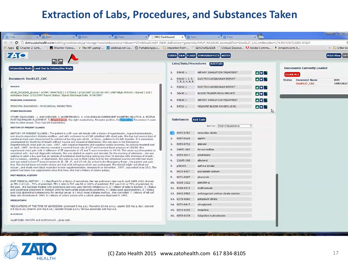#### **Extraction of Labs, Procedures, and Substances Taken**

| E Apps E Chapter 2. Setti D <b>EX</b> Weather Foreca x The HP Laptop  Wwildblue.net Cu @ PortableApps.c @ Imported From  [1 SENDtoREADER   1 Chilead Discove 7 Adobe Commu 8 Amazon.com: A                                                                                                                                                                                                                                                                                                                                                                                                                                                                                                                                                                                                                                                                                                                                                                                                                                                                                                                                                                                                                                                                                                                                                                                                                                                                                                                                                                                                                                                                                                                                                                                                                                                                    |                                                                                                                                                                                                                                   |                                                                                                                                                                                                                                                                                                                                  |                                                                                              |                                                                                                     | » Other bo              |
|---------------------------------------------------------------------------------------------------------------------------------------------------------------------------------------------------------------------------------------------------------------------------------------------------------------------------------------------------------------------------------------------------------------------------------------------------------------------------------------------------------------------------------------------------------------------------------------------------------------------------------------------------------------------------------------------------------------------------------------------------------------------------------------------------------------------------------------------------------------------------------------------------------------------------------------------------------------------------------------------------------------------------------------------------------------------------------------------------------------------------------------------------------------------------------------------------------------------------------------------------------------------------------------------------------------------------------------------------------------------------------------------------------------------------------------------------------------------------------------------------------------------------------------------------------------------------------------------------------------------------------------------------------------------------------------------------------------------------------------------------------------------------------------------------------------------------------------------------------------|-----------------------------------------------------------------------------------------------------------------------------------------------------------------------------------------------------------------------------------|----------------------------------------------------------------------------------------------------------------------------------------------------------------------------------------------------------------------------------------------------------------------------------------------------------------------------------|----------------------------------------------------------------------------------------------|-----------------------------------------------------------------------------------------------------|-------------------------|
| <b>740</b>                                                                                                                                                                                                                                                                                                                                                                                                                                                                                                                                                                                                                                                                                                                                                                                                                                                                                                                                                                                                                                                                                                                                                                                                                                                                                                                                                                                                                                                                                                                                                                                                                                                                                                                                                                                                                                                    |                                                                                                                                                                                                                                   | CODES E&M FLAGS DEMOGRAPHICS NOTES                                                                                                                                                                                                                                                                                               |                                                                                              |                                                                                                     | Print View OPT          |
| Interactive Mode Load Doc to Interactive Mode<br>Document: Doc0127 CAC<br>HEADER<br>ARUP_NA19240_Exome   ACMH   46947625     075014   2/16/1997 12:00:00 AM   UNSTABLE ANGINA   Signed   DIS  <br>Admission Date: 2/16/1997 Report Status: Signed Discharge Date: 9/14/1997<br>PRINCIPAL DIAGNOSIS<br>PRINCIPAL DIAGNOSIS : MYOCARDIAL INFARCTION.<br><b>OTHER DIAGNOSES</b><br>OTHER DIAGNOSES : 1. SARCOIDOSIS. 2. HYPERTENSION. 3. NON-INSULIN-DEPENDENT DIABETES MELLITUS. 4. STATUS<br>POST PACEMAKER PLACEMENT. 5. Breast Cancer. S/p right mastectomy. Receptor positive. On Tamoxifen, Recurrence 3 years<br>later to other breast. Then had left mastectomy.<br>HISTORY OF PRESENT ILLNESS<br>HISTORY OF PRESENT ILLNESS : The patient is a 65-year-old female with a history of hypertension, hypercholesterolemia,<br>non-insulin-dependent diabetes mellitus, and with no known hx of CAD admitted with chest pain. She has had several days of<br>exertional chest pain characterized by substemal burning pain which, at times, radiates to the left shoulder. It is sometimes<br>accompanied by shortness of breath without nausea and occasional diaphoresis. She was seen in the Emergency<br>Departmentwith chest pain on June, 1997, with negative troponins and negative cardiac enzymes. An exercise treadmill test<br>on April , 1997, for three minutes revealed a maximal heart rate of 127 and maximal blood pressure of 134/80. She<br>experienced chest pain with 1 millimeter of ST depression in V5 and T-wave inversions in V4-V6. This study was interpreted as<br>consistent with , but not diagnostic ischemia. She was started on aspirin and atenolol. On the morning of admission, she was<br>walking to catch a bus and had an episode of substemal chest burning lasting less than 10 minutes with shortness of breath, | Labs/Data/Procedures<br>1.94640 ><br>2.<br>93010 > 2.9.<br>7, 5, 3, 4, 6, 8<br>3.93010 ><br>5.36430 ><br>6.<br>94640 ><br>4. $94761 >$<br>Substances<br>0093-0782<br>2. 0067-0143<br>3. 0093-0752<br>4. 24451-002<br>5. 0054-0017 | <b>Add Code</b><br>AIRWAY INHALATION TREATMENT<br>ELECTROCARDIOGRAM REPORT<br>ELECTROCARDIOGRAM REPORT<br>BLOOD TRANSFUSION SERVICE<br>AIRWAY INHALATION TREATMENT<br>MEASURE BLOOD OXYGEN LEVEL<br><b>Add Code</b><br>Sort by: Order of Appearance<br>tamoxifen citrate<br>aspirin<br>atenolol<br>ferrous sulfate<br>prednisone | <b>AVN</b><br><b>AVN</b><br><b>AVN</b><br><b>AVN</b><br><b>AVN</b><br><b>AVN</b><br>LF.<br>۰ | <b>Documents Currently Loaded</b><br><b>CLEAR ALL</b><br><b>Status</b> Document Name<br>Doc0127 CAC | <b>DOS</b><br>1997/02/1 |
| but no nausea, vomiting, or diaphoresis. She came by cab to Rirel Carleo And for her scheduled exercise ett/mibi test study<br>and was noted to have T wave inversions in IT, III, F, and V3-V6. On arrival to the Emergency Room, the patient was pain<br>free. She denied lower extremity edema and had mild orthopnea which was unchanged. She denied bright red blood per<br>rectum, and stools were black secondary to iron supplementation. Hematocrit on November, 1997, was noted to be 29.3. The<br>patient had been iron supplements since that time. She had a history of colonic polyps.<br>PAST MEDICAL HISTORY<br>PAST MEDICAL HISTORY: 1 ) Significant for a history of sarcoidosis. Her last pulmonary test was in April 1995 which showed<br>an FEV 1 of 1.61, 72% of predicted; FEV 1 ratio to FVC was 80 or 102% of predicted. FVC was 2.01 or 72% of predicted. In<br>the past, she has been treated with prednisone and now uses Ventolin inhalers p.r.n. 2 ) History of seizure disorder. 3 ) Status<br>post pacemaker placement in October 1996 for tachycardia bradycardia syndrome. 4 ) Status post appendectomy. 5 ) Status<br>post total abdominal hysterectomy for cervical cancer. 6 ) Adult onset diabetes mellitus, diet-controlled. 7 ) History of left calf<br>deep vein thrombosis in 1993. 8 ) History of colonic polyps with a colonic adenoma diagnosed in 1993.<br><b>MEDICATIONS</b><br>MEDICATIONS AT THE TIME OF ADMISSION: Linsinopril 5 mg q.d.; Pravachol 20 mg q.h.s.; aspirin 325 mg q. day; atenoiol<br>0.5 mg b.i.d.; Dilantin 200 mg b.i.d.; Ventolin inhaler p.r.n.; ferrous gluconate 325 mg t.i.d.<br><b>ALLERGIES</b><br>ALLERGIES: Penicillin and erythromycin, gives rash.                                                                                                                             | 21695-198<br>6.<br>7. p36100<br>8. 0615-6557<br>0071-0007<br>9.<br>10. 0338-1021<br>11. 0168-0215<br>12. 0942-9502<br>13. 0178-0600<br>14. 0071-0417<br>15. 0574-0159<br>16. 0093-0154                                            | albuterol<br>asthma inhaler<br>pravastatin sodium<br>phenytoin<br>penicillin g<br>erythromycin<br>anticoagulant sodium citrate solution<br>potassium citrate<br>nitroglycerin<br>morphine<br>ticlopidine hydrochloride                                                                                                           |                                                                                              |                                                                                                     |                         |

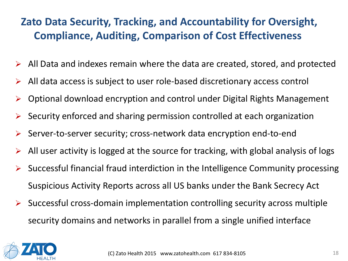# **Zato Data Security, Tracking, and Accountability for Oversight, Compliance, Auditing, Comparison of Cost Effectiveness**

- $\triangleright$  All Data and indexes remain where the data are created, stored, and protected
- $\triangleright$  All data access is subject to user role-based discretionary access control
- $\triangleright$  Optional download encryption and control under Digital Rights Management
- $\triangleright$  Security enforced and sharing permission controlled at each organization
- $\triangleright$  Server-to-server security; cross-network data encryption end-to-end
- $\triangleright$  All user activity is logged at the source for tracking, with global analysis of logs
- Successful financial fraud interdiction in the Intelligence Community processing Suspicious Activity Reports across all US banks under the Bank Secrecy Act
- $\triangleright$  Successful cross-domain implementation controlling security across multiple security domains and networks in parallel from a single unified interface

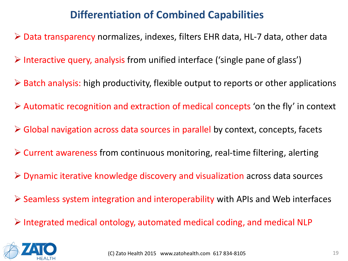# **Differentiation of Combined Capabilities**

- Data transparency normalizes, indexes, filters EHR data, HL-7 data, other data
- $\triangleright$  Interactive query, analysis from unified interface ('single pane of glass')
- $\triangleright$  Batch analysis: high productivity, flexible output to reports or other applications
- $\triangleright$  Automatic recognition and extraction of medical concepts 'on the fly' in context
- Global navigation across data sources in parallel by context, concepts, facets
- $\triangleright$  Current awareness from continuous monitoring, real-time filtering, alerting
- $\triangleright$  Dynamic iterative knowledge discovery and visualization across data sources
- $\triangleright$  Seamless system integration and interoperability with APIs and Web interfaces
- $\triangleright$  Integrated medical ontology, automated medical coding, and medical NLP

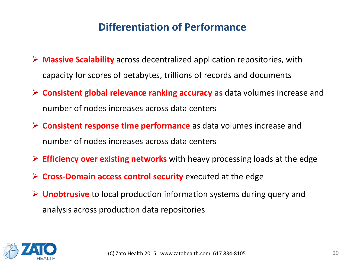#### **Differentiation of Performance**

- **Massive Scalability** across decentralized application repositories, with capacity for scores of petabytes, trillions of records and documents
- **Consistent global relevance ranking accuracy as** data volumes increase and number of nodes increases across data centers
- **Consistent response time performance** as data volumes increase and number of nodes increases across data centers
- **Efficiency over existing networks** with heavy processing loads at the edge
- **Cross-Domain access control security** executed at the edge
- **Unobtrusive** to local production information systems during query and analysis across production data repositories

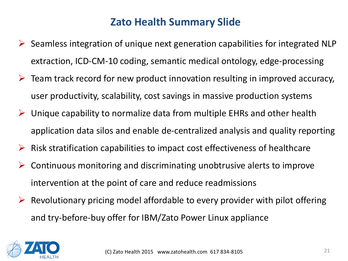#### **Zato Health Summary Slide**

- $\triangleright$  Seamless integration of unique next generation capabilities for integrated NLP extraction, ICD-CM-10 coding, semantic medical ontology, edge-processing
- $\triangleright$  Team track record for new product innovation resulting in improved accuracy, user productivity, scalability, cost savings in massive production systems
- $\triangleright$  Unique capability to normalize data from multiple EHRs and other health application data silos and enable de-centralized analysis and quality reporting
- $\triangleright$  Risk stratification capabilities to impact cost effectiveness of healthcare
- $\triangleright$  Continuous monitoring and discriminating unobtrusive alerts to improve intervention at the point of care and reduce readmissions
- $\triangleright$  Revolutionary pricing model affordable to every provider with pilot offering and try-before-buy offer for IBM/Zato Power Linux appliance